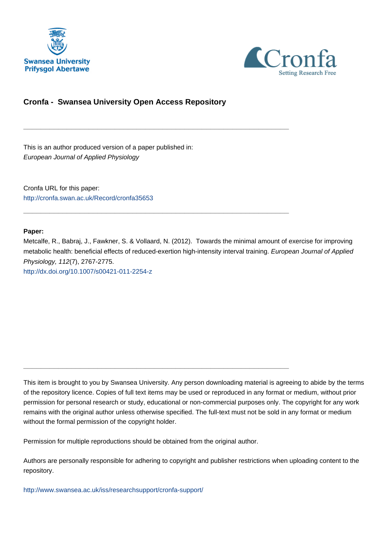



# **Cronfa - Swansea University Open Access Repository**

\_\_\_\_\_\_\_\_\_\_\_\_\_\_\_\_\_\_\_\_\_\_\_\_\_\_\_\_\_\_\_\_\_\_\_\_\_\_\_\_\_\_\_\_\_\_\_\_\_\_\_\_\_\_\_\_\_\_\_\_\_

\_\_\_\_\_\_\_\_\_\_\_\_\_\_\_\_\_\_\_\_\_\_\_\_\_\_\_\_\_\_\_\_\_\_\_\_\_\_\_\_\_\_\_\_\_\_\_\_\_\_\_\_\_\_\_\_\_\_\_\_\_

This is an author produced version of a paper published in: European Journal of Applied Physiology

Cronfa URL for this paper: <http://cronfa.swan.ac.uk/Record/cronfa35653>

#### **Paper:**

Metcalfe, R., Babraj, J., Fawkner, S. & Vollaard, N. (2012). Towards the minimal amount of exercise for improving metabolic health: beneficial effects of reduced-exertion high-intensity interval training. European Journal of Applied Physiology, 112(7), 2767-2775. <http://dx.doi.org/10.1007/s00421-011-2254-z>

This item is brought to you by Swansea University. Any person downloading material is agreeing to abide by the terms of the repository licence. Copies of full text items may be used or reproduced in any format or medium, without prior permission for personal research or study, educational or non-commercial purposes only. The copyright for any work remains with the original author unless otherwise specified. The full-text must not be sold in any format or medium without the formal permission of the copyright holder.

Permission for multiple reproductions should be obtained from the original author.

\_\_\_\_\_\_\_\_\_\_\_\_\_\_\_\_\_\_\_\_\_\_\_\_\_\_\_\_\_\_\_\_\_\_\_\_\_\_\_\_\_\_\_\_\_\_\_\_\_\_\_\_\_\_\_\_\_\_\_\_\_

Authors are personally responsible for adhering to copyright and publisher restrictions when uploading content to the repository.

[http://www.swansea.ac.uk/iss/researchsupport/cronfa-support/](http://www.swansea.ac.uk/iss/researchsupport/cronfa-support/ )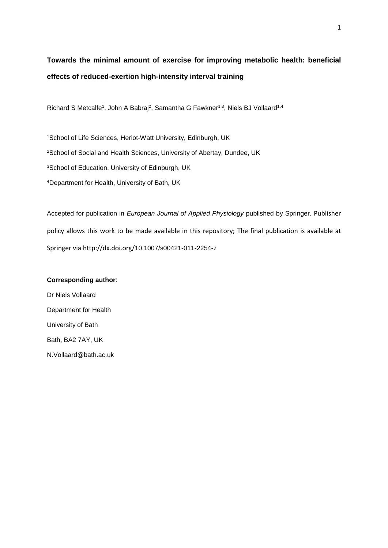# **Towards the minimal amount of exercise for improving metabolic health: beneficial effects of reduced-exertion high-intensity interval training**

Richard S Metcalfe<sup>1</sup>, John A Babraj<sup>2</sup>, Samantha G Fawkner<sup>1,3</sup>, Niels BJ Vollaard<sup>1,4</sup>

School of Life Sciences, Heriot-Watt University, Edinburgh, UK School of Social and Health Sciences, University of Abertay, Dundee, UK School of Education, University of Edinburgh, UK Department for Health, University of Bath, UK

Accepted for publication in *European Journal of Applied Physiology* published by Springer. Publisher policy allows this work to be made available in this repository; The final publication is available at Springer via http://dx.doi.org/10.1007/s00421-011-2254-z

#### **Corresponding author**:

Dr Niels Vollaard Department for Health University of Bath Bath, BA2 7AY, UK N.Vollaard@bath.ac.uk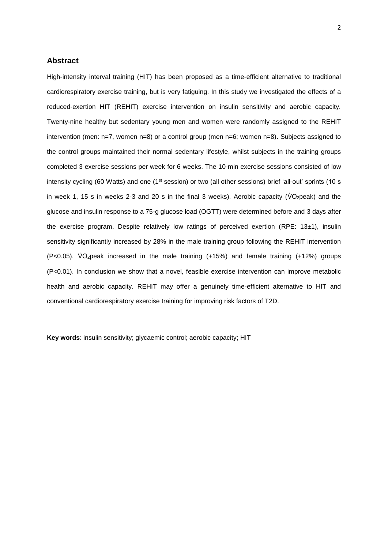## **Abstract**

High-intensity interval training (HIT) has been proposed as a time-efficient alternative to traditional cardiorespiratory exercise training, but is very fatiguing. In this study we investigated the effects of a reduced-exertion HIT (REHIT) exercise intervention on insulin sensitivity and aerobic capacity. Twenty-nine healthy but sedentary young men and women were randomly assigned to the REHIT intervention (men: n=7, women n=8) or a control group (men n=6; women n=8). Subjects assigned to the control groups maintained their normal sedentary lifestyle, whilst subjects in the training groups completed 3 exercise sessions per week for 6 weeks. The 10-min exercise sessions consisted of low intensity cycling (60 Watts) and one (1<sup>st</sup> session) or two (all other sessions) brief 'all-out' sprints (10 s in week 1, 15 s in weeks 2-3 and 20 s in the final 3 weeks). Aerobic capacity ( $\overline{V}O_2$ peak) and the glucose and insulin response to a 75-g glucose load (OGTT) were determined before and 3 days after the exercise program. Despite relatively low ratings of perceived exertion (RPE: 13±1), insulin sensitivity significantly increased by 28% in the male training group following the REHIT intervention  $(P<0.05)$ . VO<sub>2</sub>peak increased in the male training  $(+15%)$  and female training  $(+12%)$  groups (P<0.01). In conclusion we show that a novel, feasible exercise intervention can improve metabolic health and aerobic capacity. REHIT may offer a genuinely time-efficient alternative to HIT and conventional cardiorespiratory exercise training for improving risk factors of T2D.

**Key words**: insulin sensitivity; glycaemic control; aerobic capacity; HIT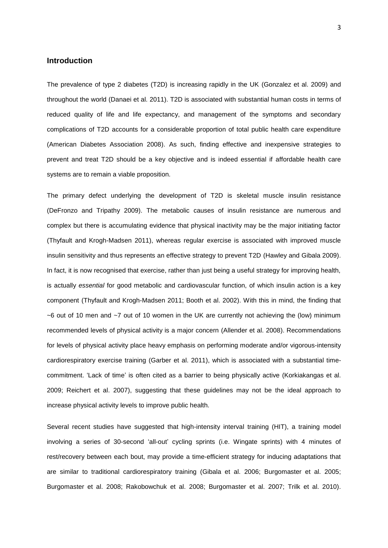## **Introduction**

The prevalence of type 2 diabetes (T2D) is increasing rapidly in the UK (Gonzalez et al. 2009) and throughout the world (Danaei et al. 2011). T2D is associated with substantial human costs in terms of reduced quality of life and life expectancy, and management of the symptoms and secondary complications of T2D accounts for a considerable proportion of total public health care expenditure (American Diabetes Association 2008). As such, finding effective and inexpensive strategies to prevent and treat T2D should be a key objective and is indeed essential if affordable health care systems are to remain a viable proposition.

The primary defect underlying the development of T2D is skeletal muscle insulin resistance (DeFronzo and Tripathy 2009). The metabolic causes of insulin resistance are numerous and complex but there is accumulating evidence that physical inactivity may be the major initiating factor (Thyfault and Krogh-Madsen 2011), whereas regular exercise is associated with improved muscle insulin sensitivity and thus represents an effective strategy to prevent T2D (Hawley and Gibala 2009). In fact, it is now recognised that exercise, rather than just being a useful strategy for improving health, is actually *essential* for good metabolic and cardiovascular function, of which insulin action is a key component (Thyfault and Krogh-Madsen 2011; Booth et al. 2002). With this in mind, the finding that  $\sim$ 6 out of 10 men and  $\sim$ 7 out of 10 women in the UK are currently not achieving the (low) minimum recommended levels of physical activity is a major concern (Allender et al. 2008). Recommendations for levels of physical activity place heavy emphasis on performing moderate and/or vigorous-intensity cardiorespiratory exercise training (Garber et al. 2011), which is associated with a substantial timecommitment. 'Lack of time' is often cited as a barrier to being physically active (Korkiakangas et al. 2009; Reichert et al. 2007), suggesting that these guidelines may not be the ideal approach to increase physical activity levels to improve public health.

Several recent studies have suggested that high-intensity interval training (HIT), a training model involving a series of 30-second 'all-out' cycling sprints (i.e. Wingate sprints) with 4 minutes of rest/recovery between each bout, may provide a time-efficient strategy for inducing adaptations that are similar to traditional cardiorespiratory training (Gibala et al. 2006; Burgomaster et al. 2005; Burgomaster et al. 2008; Rakobowchuk et al. 2008; Burgomaster et al. 2007; Trilk et al. 2010).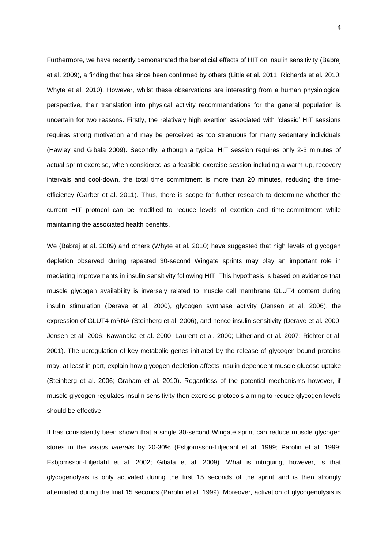Furthermore, we have recently demonstrated the beneficial effects of HIT on insulin sensitivity (Babraj et al. 2009), a finding that has since been confirmed by others (Little et al. 2011; Richards et al. 2010; Whyte et al. 2010). However, whilst these observations are interesting from a human physiological perspective, their translation into physical activity recommendations for the general population is uncertain for two reasons. Firstly, the relatively high exertion associated with 'classic' HIT sessions requires strong motivation and may be perceived as too strenuous for many sedentary individuals (Hawley and Gibala 2009). Secondly, although a typical HIT session requires only 2-3 minutes of actual sprint exercise, when considered as a feasible exercise session including a warm-up, recovery intervals and cool-down, the total time commitment is more than 20 minutes, reducing the timeefficiency (Garber et al. 2011). Thus, there is scope for further research to determine whether the current HIT protocol can be modified to reduce levels of exertion and time-commitment while maintaining the associated health benefits.

We (Babraj et al. 2009) and others (Whyte et al. 2010) have suggested that high levels of glycogen depletion observed during repeated 30-second Wingate sprints may play an important role in mediating improvements in insulin sensitivity following HIT. This hypothesis is based on evidence that muscle glycogen availability is inversely related to muscle cell membrane GLUT4 content during insulin stimulation (Derave et al. 2000), glycogen synthase activity (Jensen et al. 2006), the expression of GLUT4 mRNA (Steinberg et al. 2006), and hence insulin sensitivity (Derave et al. 2000; Jensen et al. 2006; Kawanaka et al. 2000; Laurent et al. 2000; Litherland et al. 2007; Richter et al. 2001). The upregulation of key metabolic genes initiated by the release of glycogen-bound proteins may, at least in part, explain how glycogen depletion affects insulin-dependent muscle glucose uptake (Steinberg et al. 2006; Graham et al. 2010). Regardless of the potential mechanisms however, if muscle glycogen regulates insulin sensitivity then exercise protocols aiming to reduce glycogen levels should be effective.

It has consistently been shown that a single 30-second Wingate sprint can reduce muscle glycogen stores in the *vastus lateralis* by 20-30% (Esbjornsson-Liljedahl et al. 1999; Parolin et al. 1999; Esbjornsson-Liljedahl et al. 2002; Gibala et al. 2009). What is intriguing, however, is that glycogenolysis is only activated during the first 15 seconds of the sprint and is then strongly attenuated during the final 15 seconds (Parolin et al. 1999). Moreover, activation of glycogenolysis is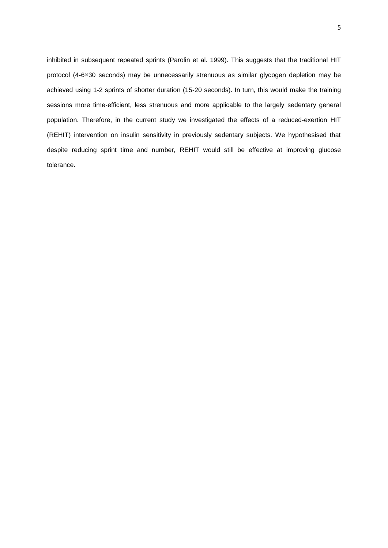inhibited in subsequent repeated sprints (Parolin et al. 1999). This suggests that the traditional HIT protocol (4-6×30 seconds) may be unnecessarily strenuous as similar glycogen depletion may be achieved using 1-2 sprints of shorter duration (15-20 seconds). In turn, this would make the training sessions more time-efficient, less strenuous and more applicable to the largely sedentary general population. Therefore, in the current study we investigated the effects of a reduced-exertion HIT (REHIT) intervention on insulin sensitivity in previously sedentary subjects. We hypothesised that despite reducing sprint time and number, REHIT would still be effective at improving glucose tolerance.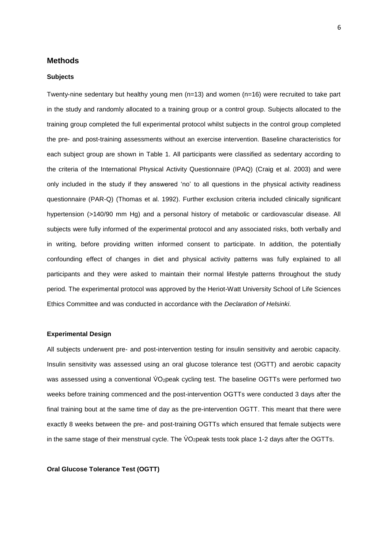## **Methods**

#### **Subjects**

Twenty-nine sedentary but healthy young men (n=13) and women (n=16) were recruited to take part in the study and randomly allocated to a training group or a control group. Subjects allocated to the training group completed the full experimental protocol whilst subjects in the control group completed the pre- and post-training assessments without an exercise intervention. Baseline characteristics for each subject group are shown in Table 1. All participants were classified as sedentary according to the criteria of the International Physical Activity Questionnaire (IPAQ) (Craig et al. 2003) and were only included in the study if they answered 'no' to all questions in the physical activity readiness questionnaire (PAR-Q) (Thomas et al. 1992). Further exclusion criteria included clinically significant hypertension (>140/90 mm Hg) and a personal history of metabolic or cardiovascular disease. All subjects were fully informed of the experimental protocol and any associated risks, both verbally and in writing, before providing written informed consent to participate. In addition, the potentially confounding effect of changes in diet and physical activity patterns was fully explained to all participants and they were asked to maintain their normal lifestyle patterns throughout the study period. The experimental protocol was approved by the Heriot-Watt University School of Life Sciences Ethics Committee and was conducted in accordance with the *Declaration of Helsinki*.

#### **Experimental Design**

All subjects underwent pre- and post-intervention testing for insulin sensitivity and aerobic capacity. Insulin sensitivity was assessed using an oral glucose tolerance test (OGTT) and aerobic capacity was assessed using a conventional VO<sub>2</sub>peak cycling test. The baseline OGTTs were performed two weeks before training commenced and the post-intervention OGTTs were conducted 3 days after the final training bout at the same time of day as the pre-intervention OGTT. This meant that there were exactly 8 weeks between the pre- and post-training OGTTs which ensured that female subjects were in the same stage of their menstrual cycle. The  $\vee$ O<sub>2</sub>peak tests took place 1-2 days after the OGTTs.

**Oral Glucose Tolerance Test (OGTT)**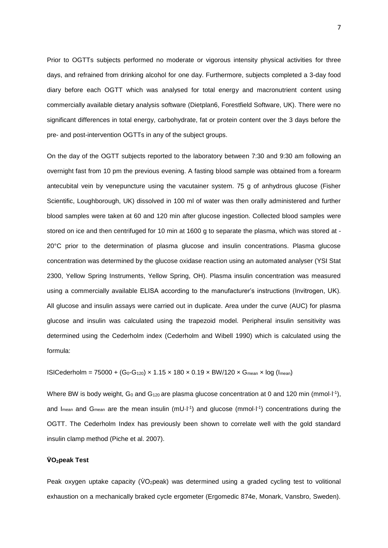Prior to OGTTs subjects performed no moderate or vigorous intensity physical activities for three days, and refrained from drinking alcohol for one day. Furthermore, subjects completed a 3-day food diary before each OGTT which was analysed for total energy and macronutrient content using commercially available dietary analysis software (Dietplan6, Forestfield Software, UK). There were no significant differences in total energy, carbohydrate, fat or protein content over the 3 days before the pre- and post-intervention OGTTs in any of the subject groups.

On the day of the OGTT subjects reported to the laboratory between 7:30 and 9:30 am following an overnight fast from 10 pm the previous evening. A fasting blood sample was obtained from a forearm antecubital vein by venepuncture using the vacutainer system. 75 g of anhydrous glucose (Fisher Scientific, Loughborough, UK) dissolved in 100 ml of water was then orally administered and further blood samples were taken at 60 and 120 min after glucose ingestion. Collected blood samples were stored on ice and then centrifuged for 10 min at 1600 g to separate the plasma, which was stored at - 20°C prior to the determination of plasma glucose and insulin concentrations. Plasma glucose concentration was determined by the glucose oxidase reaction using an automated analyser (YSI Stat 2300, Yellow Spring Instruments, Yellow Spring, OH). Plasma insulin concentration was measured using a commercially available ELISA according to the manufacturer's instructions (Invitrogen, UK). All glucose and insulin assays were carried out in duplicate. Area under the curve (AUC) for plasma glucose and insulin was calculated using the trapezoid model. Peripheral insulin sensitivity was determined using the Cederholm index (Cederholm and Wibell 1990) which is calculated using the formula:

ISICederholm = 75000 +  $(G_0-G_{120}) \times 1.15 \times 180 \times 0.19 \times BW/120 \times G_{mean} \times log (I_{mean})$ 

Where BW is body weight,  $G_0$  and  $G_{120}$  are plasma glucose concentration at 0 and 120 min (mmol·l<sup>-1</sup>), and I<sub>mean</sub> and G<sub>mean</sub> are the mean insulin (mU $\cdot$ I<sup>-1</sup>) and glucose (mmoI $\cdot$ I<sup>-1</sup>) concentrations during the OGTT. The Cederholm Index has previously been shown to correlate well with the gold standard insulin clamp method (Piche et al. 2007).

#### **V̇ O2peak Test**

Peak oxygen uptake capacity ( $\dot{V}O_2$ peak) was determined using a graded cycling test to volitional exhaustion on a mechanically braked cycle ergometer (Ergomedic 874e, Monark, Vansbro, Sweden).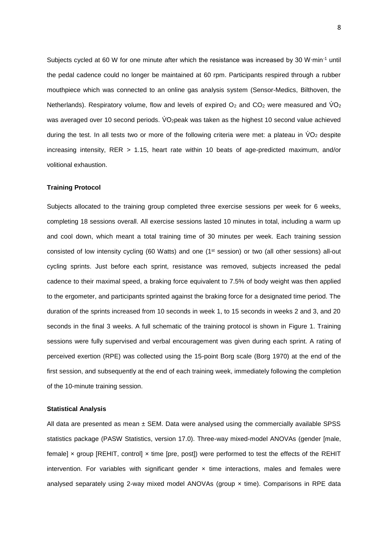Subjects cycled at 60 W for one minute after which the resistance was increased by 30 W∙min-1 until the pedal cadence could no longer be maintained at 60 rpm. Participants respired through a rubber mouthpiece which was connected to an online gas analysis system (Sensor-Medics, Bilthoven, the Netherlands). Respiratory volume, flow and levels of expired  $O_2$  and  $CO_2$  were measured and  $VO_2$ was averaged over 10 second periods. VO<sub>2</sub>peak was taken as the highest 10 second value achieved during the test. In all tests two or more of the following criteria were met: a plateau in  $VO<sub>2</sub>$  despite increasing intensity, RER > 1.15, heart rate within 10 beats of age-predicted maximum, and/or volitional exhaustion.

#### **Training Protocol**

Subjects allocated to the training group completed three exercise sessions per week for 6 weeks, completing 18 sessions overall. All exercise sessions lasted 10 minutes in total, including a warm up and cool down, which meant a total training time of 30 minutes per week. Each training session consisted of low intensity cycling (60 Watts) and one (1st session) or two (all other sessions) all-out cycling sprints. Just before each sprint, resistance was removed, subjects increased the pedal cadence to their maximal speed, a braking force equivalent to 7.5% of body weight was then applied to the ergometer, and participants sprinted against the braking force for a designated time period. The duration of the sprints increased from 10 seconds in week 1, to 15 seconds in weeks 2 and 3, and 20 seconds in the final 3 weeks. A full schematic of the training protocol is shown in Figure 1. Training sessions were fully supervised and verbal encouragement was given during each sprint. A rating of perceived exertion (RPE) was collected using the 15-point Borg scale (Borg 1970) at the end of the first session, and subsequently at the end of each training week, immediately following the completion of the 10-minute training session.

#### **Statistical Analysis**

All data are presented as mean  $\pm$  SEM. Data were analysed using the commercially available SPSS statistics package (PASW Statistics, version 17.0). Three-way mixed-model ANOVAs (gender [male, female] x group [REHIT, control] x time [pre, post]) were performed to test the effects of the REHIT intervention. For variables with significant gender  $\times$  time interactions, males and females were analysed separately using 2-way mixed model ANOVAs (group  $\times$  time). Comparisons in RPE data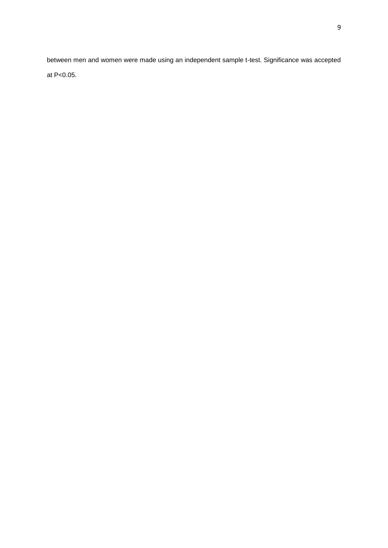between men and women were made using an independent sample t-test. Significance was accepted at P<0.05.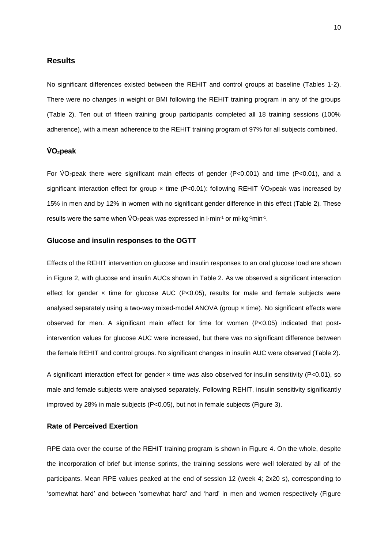### **Results**

No significant differences existed between the REHIT and control groups at baseline (Tables 1-2). There were no changes in weight or BMI following the REHIT training program in any of the groups (Table 2). Ten out of fifteen training group participants completed all 18 training sessions (100% adherence), with a mean adherence to the REHIT training program of 97% for all subjects combined.

## **V̇ O2peak**

For VO<sub>2</sub>peak there were significant main effects of gender (P<0.001) and time (P<0.01), and a significant interaction effect for group  $\times$  time (P<0.01): following REHIT VO<sub>2</sub>peak was increased by 15% in men and by 12% in women with no significant gender difference in this effect (Table 2). These results were the same when  $\sqrt{O_{2}}$ peak was expressed in  $l$ -min<sup>-1</sup> or m $l$ -kg<sup>-1</sup>min<sup>-1</sup>.

#### **Glucose and insulin responses to the OGTT**

Effects of the REHIT intervention on glucose and insulin responses to an oral glucose load are shown in Figure 2, with glucose and insulin AUCs shown in Table 2. As we observed a significant interaction effect for gender  $\times$  time for glucose AUC (P<0.05), results for male and female subjects were analysed separately using a two-way mixed-model ANOVA (group  $\times$  time). No significant effects were observed for men. A significant main effect for time for women (P<0.05) indicated that postintervention values for glucose AUC were increased, but there was no significant difference between the female REHIT and control groups. No significant changes in insulin AUC were observed (Table 2).

A significant interaction effect for gender × time was also observed for insulin sensitivity (P<0.01), so male and female subjects were analysed separately. Following REHIT, insulin sensitivity significantly improved by 28% in male subjects (P<0.05), but not in female subjects (Figure 3).

#### **Rate of Perceived Exertion**

RPE data over the course of the REHIT training program is shown in Figure 4. On the whole, despite the incorporation of brief but intense sprints, the training sessions were well tolerated by all of the participants. Mean RPE values peaked at the end of session 12 (week 4; 2x20 s), corresponding to 'somewhat hard' and between 'somewhat hard' and 'hard' in men and women respectively (Figure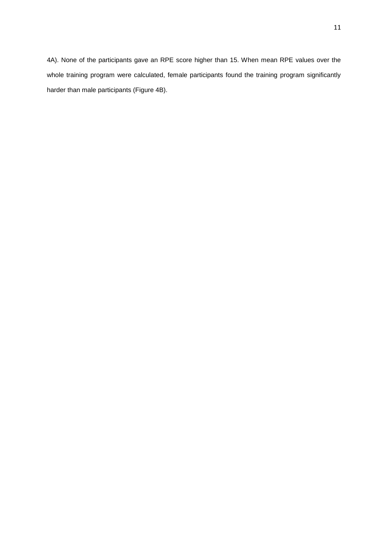4A). None of the participants gave an RPE score higher than 15. When mean RPE values over the whole training program were calculated, female participants found the training program significantly harder than male participants (Figure 4B).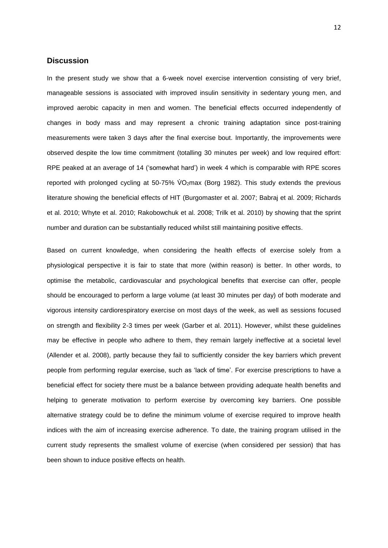## **Discussion**

In the present study we show that a 6-week novel exercise intervention consisting of very brief, manageable sessions is associated with improved insulin sensitivity in sedentary young men, and improved aerobic capacity in men and women. The beneficial effects occurred independently of changes in body mass and may represent a chronic training adaptation since post-training measurements were taken 3 days after the final exercise bout. Importantly, the improvements were observed despite the low time commitment (totalling 30 minutes per week) and low required effort: RPE peaked at an average of 14 ('somewhat hard') in week 4 which is comparable with RPE scores reported with prolonged cycling at 50-75%  $\dot{V}O_2$  max (Borg 1982). This study extends the previous literature showing the beneficial effects of HIT (Burgomaster et al. 2007; Babraj et al. 2009; Richards et al. 2010; Whyte et al. 2010; Rakobowchuk et al. 2008; Trilk et al. 2010) by showing that the sprint number and duration can be substantially reduced whilst still maintaining positive effects.

Based on current knowledge, when considering the health effects of exercise solely from a physiological perspective it is fair to state that more (within reason) is better. In other words, to optimise the metabolic, cardiovascular and psychological benefits that exercise can offer, people should be encouraged to perform a large volume (at least 30 minutes per day) of both moderate and vigorous intensity cardiorespiratory exercise on most days of the week, as well as sessions focused on strength and flexibility 2-3 times per week (Garber et al. 2011). However, whilst these guidelines may be effective in people who adhere to them, they remain largely ineffective at a societal level (Allender et al. 2008), partly because they fail to sufficiently consider the key barriers which prevent people from performing regular exercise, such as 'lack of time'. For exercise prescriptions to have a beneficial effect for society there must be a balance between providing adequate health benefits and helping to generate motivation to perform exercise by overcoming key barriers. One possible alternative strategy could be to define the minimum volume of exercise required to improve health indices with the aim of increasing exercise adherence. To date, the training program utilised in the current study represents the smallest volume of exercise (when considered per session) that has been shown to induce positive effects on health.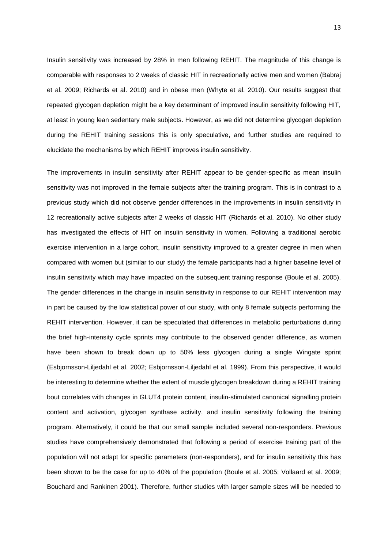Insulin sensitivity was increased by 28% in men following REHIT. The magnitude of this change is comparable with responses to 2 weeks of classic HIT in recreationally active men and women (Babraj et al. 2009; Richards et al. 2010) and in obese men (Whyte et al. 2010). Our results suggest that repeated glycogen depletion might be a key determinant of improved insulin sensitivity following HIT, at least in young lean sedentary male subjects. However, as we did not determine glycogen depletion during the REHIT training sessions this is only speculative, and further studies are required to elucidate the mechanisms by which REHIT improves insulin sensitivity.

The improvements in insulin sensitivity after REHIT appear to be gender-specific as mean insulin sensitivity was not improved in the female subjects after the training program. This is in contrast to a previous study which did not observe gender differences in the improvements in insulin sensitivity in 12 recreationally active subjects after 2 weeks of classic HIT (Richards et al. 2010). No other study has investigated the effects of HIT on insulin sensitivity in women. Following a traditional aerobic exercise intervention in a large cohort, insulin sensitivity improved to a greater degree in men when compared with women but (similar to our study) the female participants had a higher baseline level of insulin sensitivity which may have impacted on the subsequent training response (Boule et al. 2005). The gender differences in the change in insulin sensitivity in response to our REHIT intervention may in part be caused by the low statistical power of our study, with only 8 female subjects performing the REHIT intervention. However, it can be speculated that differences in metabolic perturbations during the brief high-intensity cycle sprints may contribute to the observed gender difference, as women have been shown to break down up to 50% less glycogen during a single Wingate sprint (Esbjornsson-Liljedahl et al. 2002; Esbjornsson-Liljedahl et al. 1999). From this perspective, it would be interesting to determine whether the extent of muscle glycogen breakdown during a REHIT training bout correlates with changes in GLUT4 protein content, insulin-stimulated canonical signalling protein content and activation, glycogen synthase activity, and insulin sensitivity following the training program. Alternatively, it could be that our small sample included several non-responders. Previous studies have comprehensively demonstrated that following a period of exercise training part of the population will not adapt for specific parameters (non-responders), and for insulin sensitivity this has been shown to be the case for up to 40% of the population (Boule et al. 2005; Vollaard et al. 2009; Bouchard and Rankinen 2001). Therefore, further studies with larger sample sizes will be needed to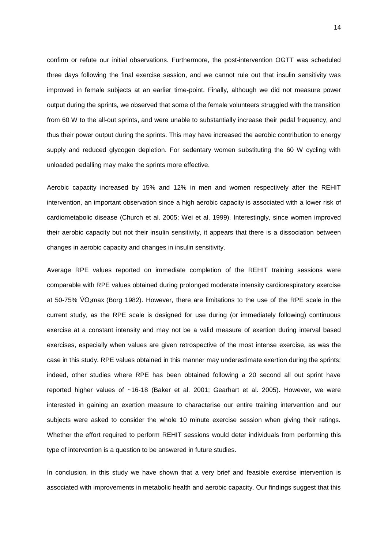confirm or refute our initial observations. Furthermore, the post-intervention OGTT was scheduled three days following the final exercise session, and we cannot rule out that insulin sensitivity was improved in female subjects at an earlier time-point. Finally, although we did not measure power output during the sprints, we observed that some of the female volunteers struggled with the transition from 60 W to the all-out sprints, and were unable to substantially increase their pedal frequency, and thus their power output during the sprints. This may have increased the aerobic contribution to energy supply and reduced glycogen depletion. For sedentary women substituting the 60 W cycling with unloaded pedalling may make the sprints more effective.

Aerobic capacity increased by 15% and 12% in men and women respectively after the REHIT intervention, an important observation since a high aerobic capacity is associated with a lower risk of cardiometabolic disease (Church et al. 2005; Wei et al. 1999). Interestingly, since women improved their aerobic capacity but not their insulin sensitivity, it appears that there is a dissociation between changes in aerobic capacity and changes in insulin sensitivity.

Average RPE values reported on immediate completion of the REHIT training sessions were comparable with RPE values obtained during prolonged moderate intensity cardiorespiratory exercise at 50-75% VO<sub>2</sub>max (Borg 1982). However, there are limitations to the use of the RPE scale in the current study, as the RPE scale is designed for use during (or immediately following) continuous exercise at a constant intensity and may not be a valid measure of exertion during interval based exercises, especially when values are given retrospective of the most intense exercise, as was the case in this study. RPE values obtained in this manner may underestimate exertion during the sprints; indeed, other studies where RPE has been obtained following a 20 second all out sprint have reported higher values of ~16-18 (Baker et al. 2001; Gearhart et al. 2005). However, we were interested in gaining an exertion measure to characterise our entire training intervention and our subjects were asked to consider the whole 10 minute exercise session when giving their ratings. Whether the effort required to perform REHIT sessions would deter individuals from performing this type of intervention is a question to be answered in future studies.

In conclusion, in this study we have shown that a very brief and feasible exercise intervention is associated with improvements in metabolic health and aerobic capacity. Our findings suggest that this

14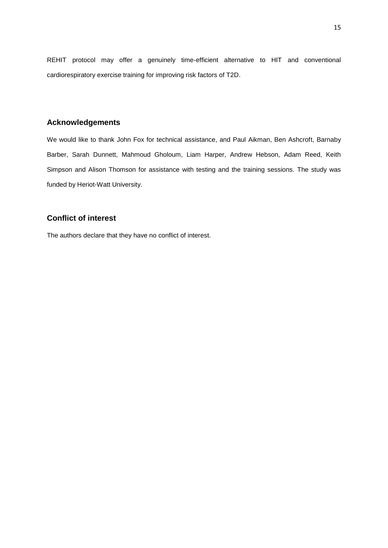REHIT protocol may offer a genuinely time-efficient alternative to HIT and conventional cardiorespiratory exercise training for improving risk factors of T2D.

## **Acknowledgements**

We would like to thank John Fox for technical assistance, and Paul Aikman, Ben Ashcroft, Barnaby Barber, Sarah Dunnett, Mahmoud Gholoum, Liam Harper, Andrew Hebson, Adam Reed, Keith Simpson and Alison Thomson for assistance with testing and the training sessions. The study was funded by Heriot-Watt University.

## **Conflict of interest**

The authors declare that they have no conflict of interest.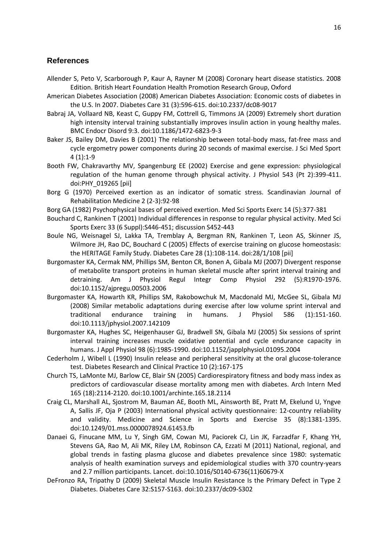## **References**

- Allender S, Peto V, Scarborough P, Kaur A, Rayner M (2008) Coronary heart disease statistics. 2008 Edition. British Heart Foundation Health Promotion Research Group, Oxford
- American Diabetes Association (2008) American Diabetes Association: Economic costs of diabetes in the U.S. In 2007. Diabetes Care 31 (3):596-615. doi:10.2337/dc08-9017
- Babraj JA, Vollaard NB, Keast C, Guppy FM, Cottrell G, Timmons JA (2009) Extremely short duration high intensity interval training substantially improves insulin action in young healthy males. BMC Endocr Disord 9:3. doi:10.1186/1472-6823-9-3
- Baker JS, Bailey DM, Davies B (2001) The relationship between total-body mass, fat-free mass and cycle ergometry power components during 20 seconds of maximal exercise. J Sci Med Sport 4 (1):1-9
- Booth FW, Chakravarthy MV, Spangenburg EE (2002) Exercise and gene expression: physiological regulation of the human genome through physical activity. J Physiol 543 (Pt 2):399-411. doi:PHY\_019265 [pii]
- Borg G (1970) Perceived exertion as an indicator of somatic stress. Scandinavian Journal of Rehabilitation Medicine 2 (2-3):92-98
- Borg GA (1982) Psychophysical bases of perceived exertion. Med Sci Sports Exerc 14 (5):377-381
- Bouchard C, Rankinen T (2001) Individual differences in response to regular physical activity. Med Sci Sports Exerc 33 (6 Suppl):S446-451; discussion S452-443
- Boule NG, Weisnagel SJ, Lakka TA, Tremblay A, Bergman RN, Rankinen T, Leon AS, Skinner JS, Wilmore JH, Rao DC, Bouchard C (2005) Effects of exercise training on glucose homeostasis: the HERITAGE Family Study. Diabetes Care 28 (1):108-114. doi:28/1/108 [pii]
- Burgomaster KA, Cermak NM, Phillips SM, Benton CR, Bonen A, Gibala MJ (2007) Divergent response of metabolite transport proteins in human skeletal muscle after sprint interval training and detraining. Am J Physiol Regul Integr Comp Physiol 292 (5):R1970-1976. doi:10.1152/ajpregu.00503.2006
- Burgomaster KA, Howarth KR, Phillips SM, Rakobowchuk M, Macdonald MJ, McGee SL, Gibala MJ (2008) Similar metabolic adaptations during exercise after low volume sprint interval and traditional endurance training in humans. J Physiol 586 (1):151-160. doi:10.1113/jphysiol.2007.142109
- Burgomaster KA, Hughes SC, Heigenhauser GJ, Bradwell SN, Gibala MJ (2005) Six sessions of sprint interval training increases muscle oxidative potential and cycle endurance capacity in humans. J Appl Physiol 98 (6):1985-1990. doi:10.1152/japplphysiol.01095.2004
- Cederholm J, Wibell L (1990) Insulin release and peripheral sensitivity at the oral glucose-tolerance test. Diabetes Research and Clinical Practice 10 (2):167-175
- Church TS, LaMonte MJ, Barlow CE, Blair SN (2005) Cardiorespiratory fitness and body mass index as predictors of cardiovascular disease mortality among men with diabetes. Arch Intern Med 165 (18):2114-2120. doi:10.1001/archinte.165.18.2114
- Craig CL, Marshall AL, Sjostrom M, Bauman AE, Booth ML, Ainsworth BE, Pratt M, Ekelund U, Yngve A, Sallis JF, Oja P (2003) International physical activity questionnaire: 12-country reliability and validity. Medicine and Science in Sports and Exercise 35 (8):1381-1395. doi:10.1249/01.mss.0000078924.61453.fb
- Danaei G, Finucane MM, Lu Y, Singh GM, Cowan MJ, Paciorek CJ, Lin JK, Farzadfar F, Khang YH, Stevens GA, Rao M, Ali MK, Riley LM, Robinson CA, Ezzati M (2011) National, regional, and global trends in fasting plasma glucose and diabetes prevalence since 1980: systematic analysis of health examination surveys and epidemiological studies with 370 country-years and 2.7 million participants. Lancet. doi:10.1016/S0140-6736(11)60679-X
- DeFronzo RA, Tripathy D (2009) Skeletal Muscle Insulin Resistance Is the Primary Defect in Type 2 Diabetes. Diabetes Care 32:S157-S163. doi:10.2337/dc09-S302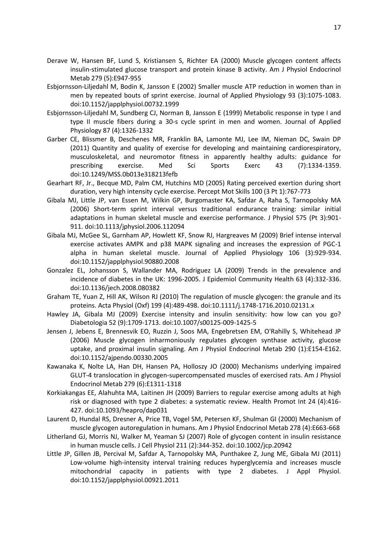- Derave W, Hansen BF, Lund S, Kristiansen S, Richter EA (2000) Muscle glycogen content affects insulin-stimulated glucose transport and protein kinase B activity. Am J Physiol Endocrinol Metab 279 (5):E947-955
- Esbjornsson-Liljedahl M, Bodin K, Jansson E (2002) Smaller muscle ATP reduction in women than in men by repeated bouts of sprint exercise. Journal of Applied Physiology 93 (3):1075-1083. doi:10.1152/japplphysiol.00732.1999
- Esbjornsson-Liljedahl M, Sundberg CJ, Norman B, Jansson E (1999) Metabolic response in type I and type II muscle fibers during a 30-s cycle sprint in men and women. Journal of Applied Physiology 87 (4):1326-1332
- Garber CE, Blissmer B, Deschenes MR, Franklin BA, Lamonte MJ, Lee IM, Nieman DC, Swain DP (2011) Quantity and quality of exercise for developing and maintaining cardiorespiratory, musculoskeletal, and neuromotor fitness in apparently healthy adults: guidance for prescribing exercise. Med Sci Sports Exerc 43 (7):1334-1359. doi:10.1249/MSS.0b013e318213fefb
- Gearhart RF, Jr., Becque MD, Palm CM, Hutchins MD (2005) Rating perceived exertion during short duration, very high intensity cycle exercise. Percept Mot Skills 100 (3 Pt 1):767-773
- Gibala MJ, Little JP, van Essen M, Wilkin GP, Burgomaster KA, Safdar A, Raha S, Tarnopolsky MA (2006) Short-term sprint interval versus traditional endurance training: similar initial adaptations in human skeletal muscle and exercise performance. J Physiol 575 (Pt 3):901- 911. doi:10.1113/jphysiol.2006.112094
- Gibala MJ, McGee SL, Garnham AP, Howlett KF, Snow RJ, Hargreaves M (2009) Brief intense interval exercise activates AMPK and p38 MAPK signaling and increases the expression of PGC-1 alpha in human skeletal muscle. Journal of Applied Physiology 106 (3):929-934. doi:10.1152/japplphysiol.90880.2008
- Gonzalez EL, Johansson S, Wallander MA, Rodriguez LA (2009) Trends in the prevalence and incidence of diabetes in the UK: 1996-2005. J Epidemiol Community Health 63 (4):332-336. doi:10.1136/jech.2008.080382
- Graham TE, Yuan Z, Hill AK, Wilson RJ (2010) The regulation of muscle glycogen: the granule and its proteins. Acta Physiol (Oxf) 199 (4):489-498. doi:10.1111/j.1748-1716.2010.02131.x
- Hawley JA, Gibala MJ (2009) Exercise intensity and insulin sensitivity: how low can you go? Diabetologia 52 (9):1709-1713. doi:10.1007/s00125-009-1425-5
- Jensen J, Jebens E, Brennesvik EO, Ruzzin J, Soos MA, Engebretsen EM, O'Rahilly S, Whitehead JP (2006) Muscle glycogen inharmoniously regulates glycogen synthase activity, glucose uptake, and proximal insulin signaling. Am J Physiol Endocrinol Metab 290 (1):E154-E162. doi:10.1152/ajpendo.00330.2005
- Kawanaka K, Nolte LA, Han DH, Hansen PA, Holloszy JO (2000) Mechanisms underlying impaired GLUT-4 translocation in glycogen-supercompensated muscles of exercised rats. Am J Physiol Endocrinol Metab 279 (6):E1311-1318
- Korkiakangas EE, Alahuhta MA, Laitinen JH (2009) Barriers to regular exercise among adults at high risk or diagnosed with type 2 diabetes: a systematic review. Health Promot Int 24 (4):416- 427. doi:10.1093/heapro/dap031
- Laurent D, Hundal RS, Dresner A, Price TB, Vogel SM, Petersen KF, Shulman GI (2000) Mechanism of muscle glycogen autoregulation in humans. Am J Physiol Endocrinol Metab 278 (4):E663-668
- Litherland GJ, Morris NJ, Walker M, Yeaman SJ (2007) Role of glycogen content in insulin resistance in human muscle cells. J Cell Physiol 211 (2):344-352. doi:10.1002/jcp.20942
- Little JP, Gillen JB, Percival M, Safdar A, Tarnopolsky MA, Punthakee Z, Jung ME, Gibala MJ (2011) Low-volume high-intensity interval training reduces hyperglycemia and increases muscle mitochondrial capacity in patients with type 2 diabetes. J Appl Physiol. doi:10.1152/japplphysiol.00921.2011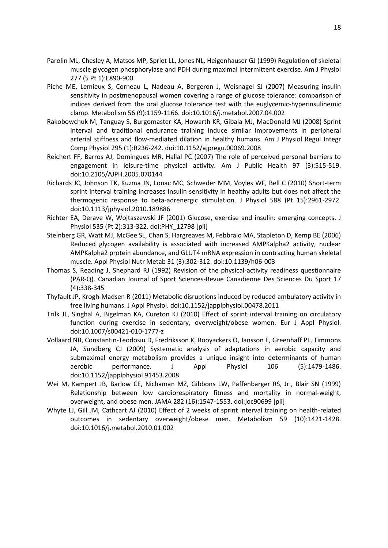- Parolin ML, Chesley A, Matsos MP, Spriet LL, Jones NL, Heigenhauser GJ (1999) Regulation of skeletal muscle glycogen phosphorylase and PDH during maximal intermittent exercise. Am J Physiol 277 (5 Pt 1):E890-900
- Piche ME, Lemieux S, Corneau L, Nadeau A, Bergeron J, Weisnagel SJ (2007) Measuring insulin sensitivity in postmenopausal women covering a range of glucose tolerance: comparison of indices derived from the oral glucose tolerance test with the euglycemic-hyperinsulinemic clamp. Metabolism 56 (9):1159-1166. doi:10.1016/j.metabol.2007.04.002
- Rakobowchuk M, Tanguay S, Burgomaster KA, Howarth KR, Gibala MJ, MacDonald MJ (2008) Sprint interval and traditional endurance training induce similar improvements in peripheral arterial stiffness and flow-mediated dilation in healthy humans. Am J Physiol Regul Integr Comp Physiol 295 (1):R236-242. doi:10.1152/ajpregu.00069.2008
- Reichert FF, Barros AJ, Domingues MR, Hallal PC (2007) The role of perceived personal barriers to engagement in leisure-time physical activity. Am J Public Health 97 (3):515-519. doi:10.2105/AJPH.2005.070144
- Richards JC, Johnson TK, Kuzma JN, Lonac MC, Schweder MM, Voyles WF, Bell C (2010) Short-term sprint interval training increases insulin sensitivity in healthy adults but does not affect the thermogenic response to beta-adrenergic stimulation. J Physiol 588 (Pt 15):2961-2972. doi:10.1113/jphysiol.2010.189886
- Richter EA, Derave W, Wojtaszewski JF (2001) Glucose, exercise and insulin: emerging concepts. J Physiol 535 (Pt 2):313-322. doi:PHY\_12798 [pii]
- Steinberg GR, Watt MJ, McGee SL, Chan S, Hargreaves M, Febbraio MA, Stapleton D, Kemp BE (2006) Reduced glycogen availability is associated with increased AMPKalpha2 activity, nuclear AMPKalpha2 protein abundance, and GLUT4 mRNA expression in contracting human skeletal muscle. Appl Physiol Nutr Metab 31 (3):302-312. doi:10.1139/h06-003
- Thomas S, Reading J, Shephard RJ (1992) Revision of the physical-activity readiness questionnaire (PAR-Q). Canadian Journal of Sport Sciences-Revue Canadienne Des Sciences Du Sport 17 (4):338-345
- Thyfault JP, Krogh-Madsen R (2011) Metabolic disruptions induced by reduced ambulatory activity in free living humans. J Appl Physiol. doi:10.1152/japplphysiol.00478.2011
- Trilk JL, Singhal A, Bigelman KA, Cureton KJ (2010) Effect of sprint interval training on circulatory function during exercise in sedentary, overweight/obese women. Eur J Appl Physiol. doi:10.1007/s00421-010-1777-z
- Vollaard NB, Constantin-Teodosiu D, Fredriksson K, Rooyackers O, Jansson E, Greenhaff PL, Timmons JA, Sundberg CJ (2009) Systematic analysis of adaptations in aerobic capacity and submaximal energy metabolism provides a unique insight into determinants of human aerobic performance. J Appl Physiol 106 (5):1479-1486. doi:10.1152/japplphysiol.91453.2008
- Wei M, Kampert JB, Barlow CE, Nichaman MZ, Gibbons LW, Paffenbarger RS, Jr., Blair SN (1999) Relationship between low cardiorespiratory fitness and mortality in normal-weight, overweight, and obese men. JAMA 282 (16):1547-1553. doi:joc90699 [pii]
- Whyte LJ, Gill JM, Cathcart AJ (2010) Effect of 2 weeks of sprint interval training on health-related outcomes in sedentary overweight/obese men. Metabolism 59 (10):1421-1428. doi:10.1016/j.metabol.2010.01.002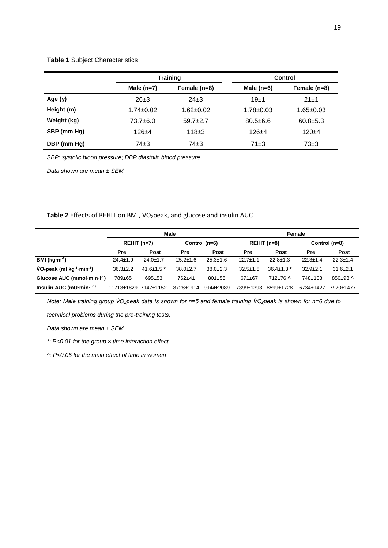#### **Table 1** Subject Characteristics

|             |                 | <b>Training</b> | Control         |                 |  |  |
|-------------|-----------------|-----------------|-----------------|-----------------|--|--|
|             | Male $(n=7)$    | Female (n=8)    | Male $(n=6)$    | Female (n=8)    |  |  |
| Age $(y)$   | $26+3$          | $24+3$          | 19±1            | $21 + 1$        |  |  |
| Height (m)  | $1.74 \pm 0.02$ | $1.62 + 0.02$   | $1.78 \pm 0.03$ | $1.65 \pm 0.03$ |  |  |
| Weight (kg) | 73.7±6.0        | $59.7+2.7$      | $80.5 + 6.6$    | $60.8 \pm 5.3$  |  |  |
| SBP (mm Hg) | $126+4$         | $118+3$         | $126 + 4$       | $120+4$         |  |  |
| DBP (mm Hg) | $74\pm3$        | $74\pm3$        | $71\pm3$        | $73\pm3$        |  |  |

*SBP: systolic blood pressure; DBP diastolic blood pressure*

*Data shown are mean ± SEM*

Table 2 Effects of REHIT on BMI, VO<sub>2</sub>peak, and glucose and insulin AUC

|                                                       | Male                 |                  |                |                | Female         |                  |                |                |
|-------------------------------------------------------|----------------------|------------------|----------------|----------------|----------------|------------------|----------------|----------------|
|                                                       | $REHIT(n=7)$         |                  | Control (n=6)  |                | $REHIT(n=8)$   |                  | Control (n=8)  |                |
|                                                       | <b>Pre</b>           | Post             | Pre            | Post           | Pre            | <b>Post</b>      | Pre            | Post           |
| BMI ( $kg·m-2$ )                                      | $24.4 \pm 1.9$       | $24.0 \pm 1.7$   | $25.2 \pm 1.6$ | $25.3 \pm 1.6$ | $22.7 \pm 1.1$ | $22.8 \pm 1.3$   | $22.3 \pm 1.4$ | $22.3 \pm 1.4$ |
| $VO_2$ peak (ml·kg <sup>-1</sup> ·min <sup>-1</sup> ) | $36.3 \pm 2.2$       | $41.6 \pm 1.5$ * | $38.0 + 2.7$   | $38.0 \pm 2.3$ | $32.5 \pm 1.5$ | $36.4 \pm 1.3$ * | $32.9 \pm 2.1$ | $31.6 \pm 2.1$ |
| Glucose AUC (mmol-min-I <sup>-1</sup> )               | 789±65               | $695 + 53$       | 762±41         | $801 + 55$     | $671 \pm 67$   | $712+76$ ^       | 748±108        | $850+93$ ^     |
| Insulin AUC (mU $\cdot$ min $\cdot$ I <sup>-1)</sup>  | 11713±1829 7147±1152 |                  | 8728±1914      | 9944±2089      | 7399±1393      | 8599±1728        | 6734±1427      | 7970±1477      |

Note: Male training group VO<sub>2</sub>peak data is shown for n=5 and female training VO<sub>2</sub>peak is shown for n=6 due to

*technical problems during the pre-training tests.*

*Data shown are mean ± SEM*

*\*: P<0.01 for the group × time interaction effect*

*^: P<0.05 for the main effect of time in women*